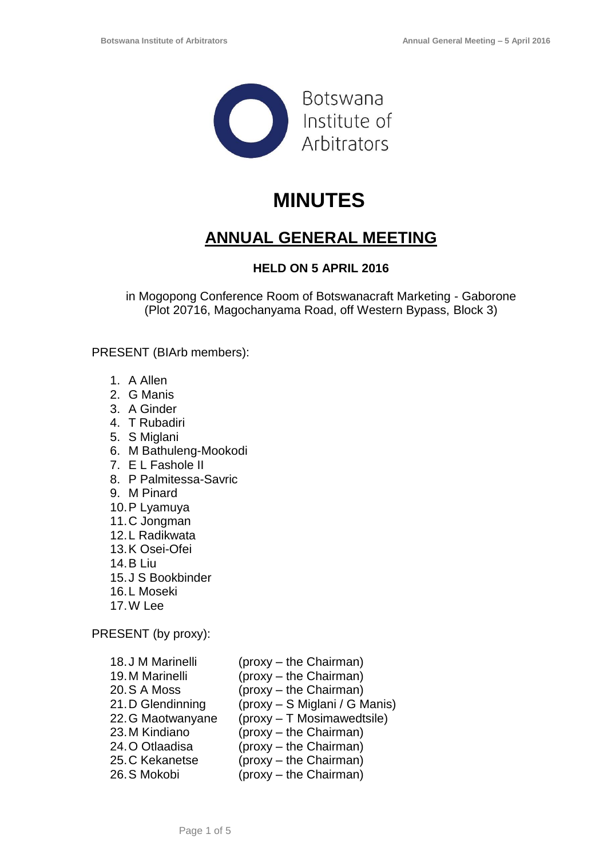

# **MINUTES**

# **ANNUAL GENERAL MEETING**

# **HELD ON 5 APRIL 2016**

in Mogopong Conference Room of Botswanacraft Marketing - Gaborone (Plot 20716, Magochanyama Road, off Western Bypass, Block 3)

PRESENT (BIArb members):

- 1. A Allen
- 2. G Manis
- 3. A Ginder
- 4. T Rubadiri
- 5. S Miglani
- 6. M Bathuleng-Mookodi
- 7. E L Fashole II
- 8. P Palmitessa-Savric
- 9. M Pinard
- 10.P Lyamuya
- 11.C Jongman
- 12.L Radikwata
- 13.K Osei-Ofei
- 14.B Liu
- 15.J S Bookbinder
- 16.L Moseki
- 17.W Lee

PRESENT (by proxy):

| 18.J M Marinelli  | (proxy – the Chairman)        |
|-------------------|-------------------------------|
| 19. M Marinelli   | (proxy - the Chairman)        |
| 20.S A Moss       | (proxy - the Chairman)        |
| 21.D Glendinning  | (proxy - S Miglani / G Manis) |
| 22. G Maotwanyane | (proxy - T Mosimawedtsile)    |
| 23. M Kindiano    | (proxy - the Chairman)        |
| 24. O Otlaadisa   | (proxy - the Chairman)        |
| 25. C Kekanetse   | (proxy – the Chairman)        |
| 26.S Mokobi       | (proxy – the Chairman)        |
|                   |                               |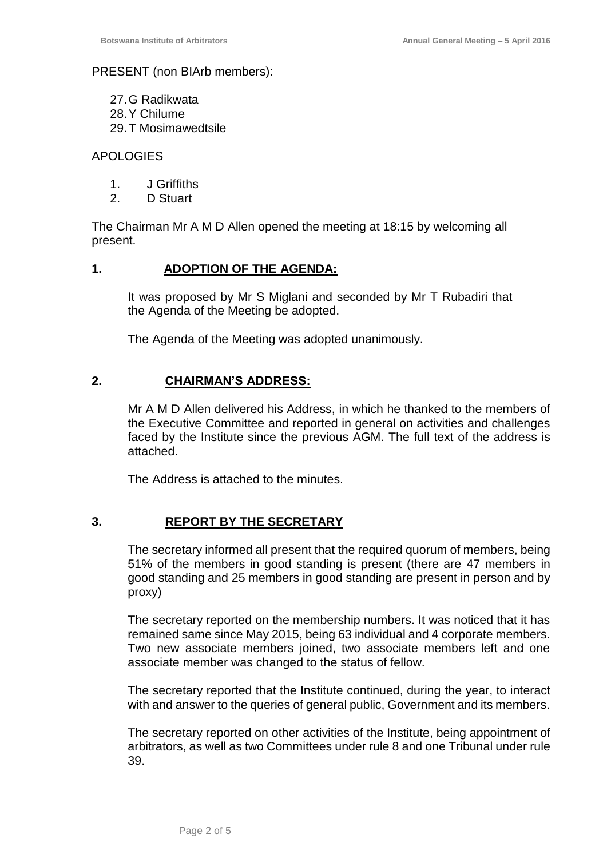#### PRESENT (non BIArb members):

27.G Radikwata 28.Y Chilume 29.T Mosimawedtsile

#### APOLOGIES

- 1. J Griffiths
- 2. D Stuart

The Chairman Mr A M D Allen opened the meeting at 18:15 by welcoming all present.

#### **1. ADOPTION OF THE AGENDA:**

It was proposed by Mr S Miglani and seconded by Mr T Rubadiri that the Agenda of the Meeting be adopted.

The Agenda of the Meeting was adopted unanimously.

#### **2. CHAIRMAN'S ADDRESS:**

Mr A M D Allen delivered his Address, in which he thanked to the members of the Executive Committee and reported in general on activities and challenges faced by the Institute since the previous AGM. The full text of the address is attached.

The Address is attached to the minutes.

# **3. REPORT BY THE SECRETARY**

The secretary informed all present that the required quorum of members, being 51% of the members in good standing is present (there are 47 members in good standing and 25 members in good standing are present in person and by proxy)

The secretary reported on the membership numbers. It was noticed that it has remained same since May 2015, being 63 individual and 4 corporate members. Two new associate members joined, two associate members left and one associate member was changed to the status of fellow.

The secretary reported that the Institute continued, during the year, to interact with and answer to the queries of general public, Government and its members.

The secretary reported on other activities of the Institute, being appointment of arbitrators, as well as two Committees under rule 8 and one Tribunal under rule 39.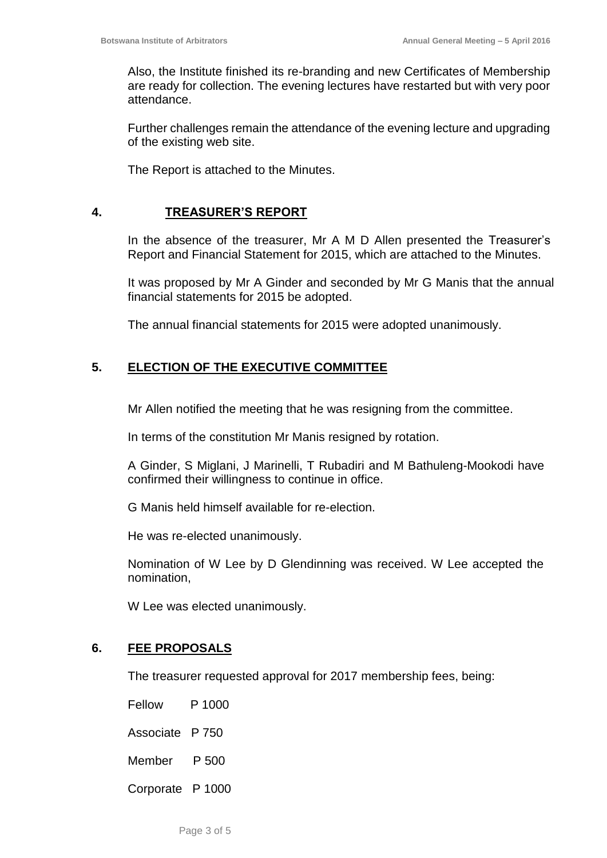Also, the Institute finished its re-branding and new Certificates of Membership are ready for collection. The evening lectures have restarted but with very poor attendance.

Further challenges remain the attendance of the evening lecture and upgrading of the existing web site.

The Report is attached to the Minutes.

#### **4. TREASURER'S REPORT**

In the absence of the treasurer, Mr A M D Allen presented the Treasurer's Report and Financial Statement for 2015, which are attached to the Minutes.

It was proposed by Mr A Ginder and seconded by Mr G Manis that the annual financial statements for 2015 be adopted.

The annual financial statements for 2015 were adopted unanimously.

# **5. ELECTION OF THE EXECUTIVE COMMITTEE**

Mr Allen notified the meeting that he was resigning from the committee.

In terms of the constitution Mr Manis resigned by rotation.

A Ginder, S Miglani, J Marinelli, T Rubadiri and M Bathuleng-Mookodi have confirmed their willingness to continue in office.

G Manis held himself available for re-election.

He was re-elected unanimously.

Nomination of W Lee by D Glendinning was received. W Lee accepted the nomination,

W Lee was elected unanimously.

#### **6. FEE PROPOSALS**

The treasurer requested approval for 2017 membership fees, being:

Fellow P 1000 Associate P 750 Member P 500

Corporate P 1000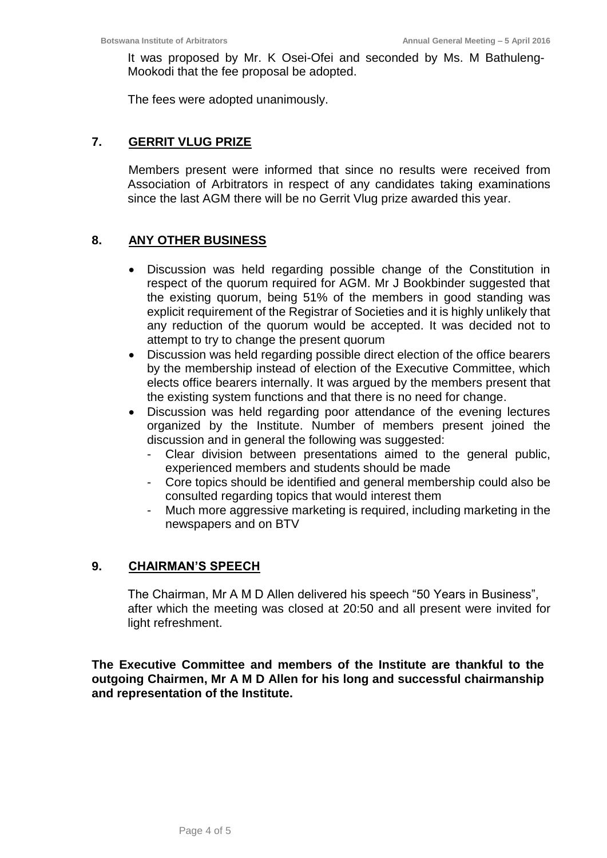It was proposed by Mr. K Osei-Ofei and seconded by Ms. M Bathuleng-Mookodi that the fee proposal be adopted.

The fees were adopted unanimously.

# **7. GERRIT VLUG PRIZE**

Members present were informed that since no results were received from Association of Arbitrators in respect of any candidates taking examinations since the last AGM there will be no Gerrit Vlug prize awarded this year.

# **8. ANY OTHER BUSINESS**

- Discussion was held regarding possible change of the Constitution in respect of the quorum required for AGM. Mr J Bookbinder suggested that the existing quorum, being 51% of the members in good standing was explicit requirement of the Registrar of Societies and it is highly unlikely that any reduction of the quorum would be accepted. It was decided not to attempt to try to change the present quorum
- Discussion was held regarding possible direct election of the office bearers by the membership instead of election of the Executive Committee, which elects office bearers internally. It was argued by the members present that the existing system functions and that there is no need for change.
- Discussion was held regarding poor attendance of the evening lectures organized by the Institute. Number of members present joined the discussion and in general the following was suggested:
	- Clear division between presentations aimed to the general public, experienced members and students should be made
	- Core topics should be identified and general membership could also be consulted regarding topics that would interest them
	- Much more aggressive marketing is required, including marketing in the newspapers and on BTV

# **9. CHAIRMAN'S SPEECH**

The Chairman, Mr A M D Allen delivered his speech "50 Years in Business", after which the meeting was closed at 20:50 and all present were invited for light refreshment.

**The Executive Committee and members of the Institute are thankful to the outgoing Chairmen, Mr A M D Allen for his long and successful chairmanship and representation of the Institute.**